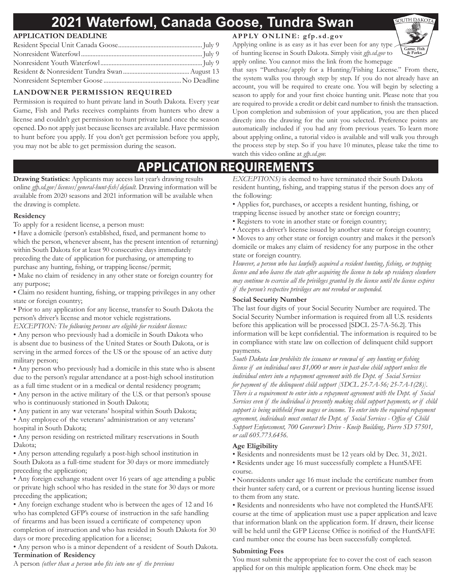# **2021 Waterfowl, Canada Goose, Tundra Swan**

### **APPLICATION DEADLINE**

### **LANDOWNER PERMISSION REQUIRED**

Permission is required to hunt private land in South Dakota. Every year Game, Fish and Parks receives complaints from hunters who drew a license and couldn't get permission to hunt private land once the season opened. Do not apply just because licenses are available. Have permission to hunt before you apply. If you don't get permission before you apply, you may not be able to get permission during the season.

### **APPLY ONLINE: gfp.sd.gov**

Applying online is as easy as it has ever been for any type of hunting license in South Dakota. Simply visit *gfp.sd.gov* to apply online. You cannot miss the link from the homepage



that says "Purchase/apply for a Hunting/Fishing License." From there, the system walks you through step by step. If you do not already have an account, you will be required to create one. You will begin by selecting a season to apply for and your first choice hunting unit. Please note that you are required to provide a credit or debit card number to finish the transaction. Upon completion and submission of your application, you are then placed directly into the drawing for the unit you selected. Preference points are automatically included if you had any from previous years. To learn more about applying online, a tutorial video is available and will walk you through the process step by step. So if you have 10 minutes, please take the time to watch this video online at *gfp.sd.gov.*

## **APPLICATION REQUIREMENTS**

**Drawing Statistics:** Applicants may access last year's drawing results online *gfp.sd.gov/licenses/general-hunt-fish/default.* Drawing information will be available from 2020 seasons and 2021 information will be available when the drawing is complete.

#### **Residency**

To apply for a resident license, a person must:

- Have a domicile (person's established, fixed, and permanent home to which the person, whenever absent, has the present intention of returning) within South Dakota for at least 90 consecutive days immediately preceding the date of application for purchasing, or attempting to purchase any hunting, fishing, or trapping license/permit;
- Make no claim of residency in any other state or foreign country for any purpose;
- Claim no resident hunting, fishing, or trapping privileges in any other state or foreign country;
- Prior to any application for any license, transfer to South Dakota the person's driver's license and motor vehicle registrations.
- *EXCEPTION: The following persons are eligible for resident licenses:*
- Any person who previously had a domicile in South Dakota who is absent due to business of the United States or South Dakota, or is serving in the armed forces of the US or the spouse of an active duty military person;
- Any person who previously had a domicile in this state who is absent due to the person's regular attendance at a post-high school institution as a full time student or in a medical or dental residency program;
- Any person in the active military of the U.S. or that person's spouse who is continuously stationed in South Dakota;
- Any patient in any war veterans' hospital within South Dakota;
- Any employee of the veterans' administration or any veterans' hospital in South Dakota;
- Any person residing on restricted military reservations in South Dakota;
- Any person attending regularly a post-high school institution in South Dakota as a full-time student for 30 days or more immediately preceding the application;
- Any foreign exchange student over 16 years of age attending a public or private high school who has resided in the state for 30 days or more preceding the application;
- Any foreign exchange student who is between the ages of 12 and 16 who has completed GFP's course of instruction in the safe handling of firearms and has been issued a certificate of competency upon completion of instruction and who has resided in South Dakota for 30 days or more preceding application for a license;
- Any person who is a minor dependent of a resident of South Dakota. **Termination of Residency**
- A person *(other than a person who fits into one of the previous*

*EXCEPTIONS)* is deemed to have terminated their South Dakota resident hunting, fishing, and trapping status if the person does any of the following:

- Applies for, purchases, or accepts a resident hunting, fishing, or trapping license issued by another state or foreign country;
- Registers to vote in another state or foreign country;
- Accepts a driver's license issued by another state or foreign country;
- Moves to any other state or foreign country and makes it the person's domicile or makes any claim of residency for any purpose in the other state or foreign country.

*However, a person who has lawfully acquired a resident hunting, fishing, or trapping license and who leaves the state after acquiring the license to take up residency elsewhere may continue to exercise all the privileges granted by the license until the license expires if the person's respective privileges are not revoked or suspended.*

#### **Social Security Number**

The last four digits of your Social Security Number are required. The Social Security Number information is required from all U.S. residents before this application will be processed [SDCL 25-7A-56.2]. This information will be kept confidential. The information is required to be in compliance with state law on collection of delinquent child support payments.

*South Dakota law prohibits the issuance or renewal of any hunting or fishing license if an individual owes \$1,000 or more in past-due child support unless the individual enters into a repayment agreement with the Dept. of Social Services for payment of the delinquent child support [SDCL 25-7A-56; 25-7A-1(28)]. There is a requirement to enter into a repayment agreement with the Dept. of Social Services even if the individual is presently making child support payments, or if child support is being withheld from wages or income. To enter into the required repayment agreement, individuals must contact the Dept. of Social Services - Office of Child Support Enforcement, 700 Governor's Drive - Kneip Building, Pierre SD 57501, or call 605.773.6456.*

#### **Age Eligibility**

- Residents and nonresidents must be 12 years old by Dec. 31, 2021.
- Residents under age 16 must successfully complete a HuntSAFE course.

• Nonresidents under age 16 must include the certificate number from their hunter safety card, or a current or previous hunting license issued to them from any state.

• Residents and nonresidents who have not completed the HuntSAFE course at the time of application must use a paper application and leave that information blank on the application form. If drawn, their license will be held until the GFP License Office is notified of the HuntSAFE card number once the course has been successfully completed.

#### **Submitting Fees**

You must submit the appropriate fee to cover the cost of each season applied for on this multiple application form. One check may be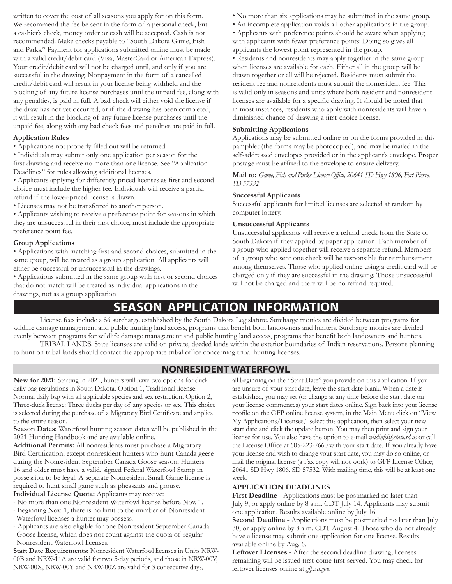written to cover the cost of all seasons you apply for on this form. We recommend the fee be sent in the form of a personal check, but a cashier's check, money order or cash will be accepted. Cash is not recommended. Make checks payable to "South Dakota Game, Fish and Parks." Payment for applications submitted online must be made with a valid credit/debit card (Visa, MasterCard or American Express). Your credit/debit card will not be charged until, and only if you are successful in the drawing. Nonpayment in the form of a cancelled credit/debit card will result in your license being withheld and the blocking of any future license purchases until the unpaid fee, along with any penalties, is paid in full. A bad check will either void the license if the draw has not yet occurred; or if the drawing has been completed, it will result in the blocking of any future license purchases until the unpaid fee, along with any bad check fees and penalties are paid in full.

#### **Application Rules**

• Applications not properly filled out will be returned.

• Individuals may submit only one application per season for the first drawing and receive no more than one license. See "Application Deadlines" for rules allowing additional licenses.

• Applicants applying for differently priced licenses as first and second choice must include the higher fee. Individuals will receive a partial refund if the lower-priced license is drawn.

• Licenses may not be transferred to another person.

• Applicants wishing to receive a preference point for seasons in which they are unsuccessful in their first choice, must include the appropriate preference point fee.

#### **Group Applications**

• Applications with matching first and second choices, submitted in the same group, will be treated as a group application. All applicants will either be successful or unsuccessful in the drawings.

• Applications submitted in the same group with first or second choices that do not match will be treated as individual applications in the drawings, not as a group application.

- No more than six applications may be submitted in the same group.
- An incomplete application voids all other applications in the group.

• Applicants with preference points should be aware when applying with applicants with fewer preference points: Doing so gives all applicants the lowest point represented in the group.

• Residents and nonresidents may apply together in the same group when licenses are available for each. Either all in the group will be drawn together or all will be rejected. Residents must submit the resident fee and nonresidents must submit the nonresident fee. This is valid only in seasons and units where both resident and nonresident licenses are available for a specific drawing. It should be noted that in most instances, residents who apply with nonresidents will have a diminished chance of drawing a first-choice license.

#### **Submitting Applications**

Applications may be submitted online or on the forms provided in this pamphlet (the forms may be photocopied), and may be mailed in the self-addressed envelopes provided or in the applicant's envelope. Proper postage must be affixed to the envelope to ensure delivery.

**Mail to:** *Game, Fish and Parks License Office, 20641 SD Hwy 1806, Fort Pierre, SD 57532*

#### **Successful Applicants**

Successful applicants for limited licenses are selected at random by computer lottery.

#### **Unsuccessful Applicants**

Unsuccessful applicants will receive a refund check from the State of South Dakota if they applied by paper application. Each member of a group who applied together will receive a separate refund. Members of a group who sent one check will be responsible for reimbursement among themselves. Those who applied online using a credit card will be charged only if they are successful in the drawing. Those unsuccessful will not be charged and there will be no refund required.

## **SEASON APPLICATION INFORMATION**

License fees include a \$6 surcharge established by the South Dakota Legislature. Surcharge monies are divided between programs for wildlife damage management and public hunting land access, programs that benefit both landowners and hunters. Surcharge monies are divided evenly between programs for wildlife damage management and public hunting land access, programs that benefit both landowners and hunters. TRIBAL LANDS. State licenses are valid on private, deeded lands within the exterior boundaries of Indian reservations. Persons planning

to hunt on tribal lands should contact the appropriate tribal office concerning tribal hunting licenses.

### **NONRESIDENT WATERFOWL**

**New for 2021:** Starting in 2021, hunters will have two options for duck daily bag regulations in South Dakota. Option 1, Traditional license: Normal daily bag with all applicable species and sex restriction. Option 2, Three-duck license: Three ducks per day of any species or sex. This choice is selected during the purchase of a Migratory Bird Certificate and applies to the entire season.

**Season Dates:** Waterfowl hunting season dates will be published in the 2021 Hunting Handbook and are available online.

**Additional Permits:** All nonresidents must purchase a Migratory Bird Certification, except nonresident hunters who hunt Canada geese during the Nonresident September Canada Goose season. Hunters 16 and older must have a valid, signed Federal Waterfowl Stamp in possession to be legal. A separate Nonresident Small Game license is required to hunt small game such as pheasants and grouse.

**Individual License Quota:** Applicants may receive:

- No more than one Nonresident Waterfowl license before Nov. 1.
- Beginning Nov. 1, there is no limit to the number of Nonresident Waterfowl licenses a hunter may possess.
- Applicants are also eligible for one Nonresident September Canada Goose license, which does not count against the quota of regular Nonresident Waterfowl licenses.

**Start Date Requirements:** Nonresident Waterfowl licenses in Units NRW-00B and NRW-11A are valid for two 5-day periods, and those in NRW-00V, NRW-00X, NRW-00Y and NRW-00Z are valid for 3 consecutive days,

all beginning on the "Start Date" you provide on this application. If you are unsure of your start date, leave the start date blank. When a date is established, you may set (or change at any time before the start date on your license commences) your start dates online. Sign back into your license profile on the GFP online license system, in the Main Menu click on "View My Applications/Licenses," select this application, then select your new start date and click the update button. You may then print and sign your license for use. You also have the option to e-mail *wildinfo@state.sd.us* or call the License Office at 605-223-7660 with your start date. If you already have your license and wish to change your start date, you may do so online, or mail the original license (a Fax copy will not work) to GFP License Office; 20641 SD Hwy 1806, SD 57532. With mailing time, this will be at least one week.

#### **APPLICATION DEADLINES**

First Deadline - Applications must be postmarked no later than July 9, or apply online by 8 a.m. CDT July 14. Applicants may submit one application. Results available online by July 16.

**Second Deadline -** Applications must be postmarked no later than July 30, or apply online by 8 a.m. CDT August 4. Those who do not already have a license may submit one application for one license. Results available online by Aug. 6.

**Leftover Licenses -** After the second deadline drawing, licenses remaining will be issued first-come first-served. You may check for leftover licenses online at *gfp.sd.gov.*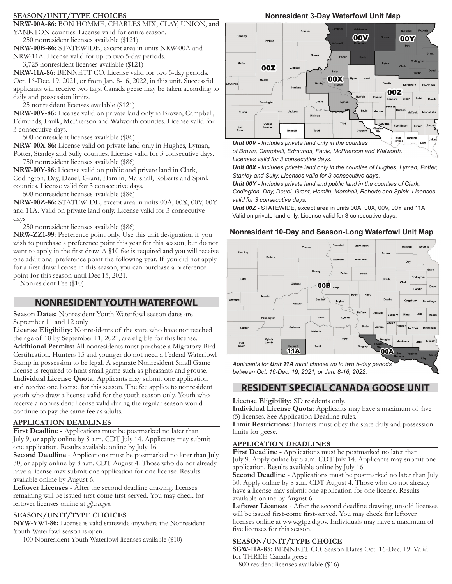#### **SEASON/UNIT/TYPE CHOICES**

**NRW-00A-86:** BON HOMME, CHARLES MIX, CLAY, UNION, and YANKTON counties. License valid for entire season.

250 nonresident licenses available (\$121)

**NRW-00B-86:** STATEWIDE, except area in units NRW-00A and NRW-11A. License valid for up to two 5-day periods.

3,725 nonresident licenses available (\$121)

**NRW-11A-86:** BENNETT CO. License valid for two 5-day periods. Oct. 16-Dec. 19, 2021, or from Jan. 8-16, 2022, in this unit. Successful applicants will receive two tags. Canada geese may be taken according to daily and possession limits.

25 nonresident licenses available (\$121)

**NRW-00V-86:** License valid on private land only in Brown, Campbell, Edmunds, Faulk, McPherson and Walworth counties. License valid for 3 consecutive days.

500 nonresident licenses available (\$86)

**NRW-00X-86:** License valid on private land only in Hughes, Lyman, Potter, Stanley and Sully counties. License valid for 3 consecutive days. 750 nonresident licenses available (\$86)

**NRW-00Y-86:** License valid on public and private land in Clark, Codington, Day, Deuel, Grant, Hamlin, Marshall, Roberts and Spink

counties. License valid for 3 consecutive days.

500 nonresident licenses available (\$86)

**NRW-00Z-86:** STATEWIDE, except area in units 00A, 00X, 00V, 00Y and 11A. Valid on private land only. License valid for 3 consecutive days.

250 nonresident licenses available (\$86)

**NRW-ZZ1-99:** Preference point only. Use this unit designation if you wish to purchase a preference point this year for this season, but do not want to apply in the first draw. A \$10 fee is required and you will receive one additional preference point the following year. If you did not apply for a first draw license in this season, you can purchase a preference point for this season until Dec.15, 2021.

Nonresident Fee (\$10)

### **NONRESIDENT YOUTH WATERFOWL**

**Season Dates:** Nonresident Youth Waterfowl season dates are September 11 and 12 only.

**License Eligibility:** Nonresidents of the state who have not reached the age of 18 by September 11, 2021, are eligible for this license. **Additional Permits:** All nonresidents must purchase a Migratory Bird Certification. Hunters 15 and younger do not need a Federal Waterfowl Stamp in possession to be legal. A separate Nonresident Small Game license is required to hunt small game such as pheasants and grouse. **Individual License Quota:** Applicants may submit one application and receive one license for this season. The fee applies to nonresident youth who draw a license valid for the youth season only. Youth who receive a nonresident license valid during the regular season would continue to pay the same fee as adults.

#### **APPLICATION DEADLINES**

First Deadline - Applications must be postmarked no later than July 9, or apply online by 8 a.m. CDT July 14. Applicants may submit one application. Results available online by July 16.

**Second Deadline** - Applications must be postmarked no later than July 30, or apply online by 8 a.m. CDT August 4. Those who do not already have a license may submit one application for one license. Results available online by August 6.

**Leftover Licenses** - After the second deadline drawing, licenses remaining will be issued first-come first-served. You may check for leftover licenses online at *gfp.sd.gov.*

#### **SEASON/UNIT/TYPE CHOICES**

**NYW-YW1-86:** License is valid statewide anywhere the Nonresident Youth Waterfowl season is open.

100 Nonresident Youth Waterfowl licenses available (\$10)



**Nonresident 3-Day Waterfowl Unit Map**

*of Brown, Campbell, Edmunds, Faulk, McPherson and Walworth. Licenses valid for 3 consecutive days.*

*Unit 00X - Includes private land only in the counties of Hughes, Lyman, Potter, Stanley and Sully. Licenses valid for 3 consecutive days.*

*Unit 00Y - Includes private land and public land in the counties of Clark, Codington, Day, Deuel, Grant, Hamlin, Marshall, Roberts and Spink. Licenses valid for 3 consecutive days.*

*Unit 00Z -* STATEWIDE, except area in units 00A, 00X, 00V, 00Y and 11A. Valid on private land only. License valid for 3 consecutive days.

#### **Nonresident 10-Day and Season-Long Waterfowl Unit Map**



*Applicants for Unit 11A must choose up to two 5-day periods between Oct. 16-Dec. 19, 2021, or Jan. 8-16, 2022.*

### **RESIDENT SPECIAL CANADA GOOSE UNIT**

**License Eligibility:** SD residents only.

**Individual License Quota:** Applicants may have a maximum of five (5) licenses. See Application Deadline rules.

**Limit Restrictions:** Hunters must obey the state daily and possession limits for geese.

#### **APPLICATION DEADLINES**

First Deadline - Applications must be postmarked no later than July 9. Apply online by 8 a.m. CDT July 14. Applicants may submit one application. Results available online by July 16.

**Second Deadline** - Applications must be postmarked no later than July 30. Apply online by 8 a.m. CDT August 4. Those who do not already have a license may submit one application for one license. Results available online by August 6.

**Leftover Licenses** - After the second deadline drawing, unsold licenses will be issued first-come first-served. You may check for leftover licenses online at www.gfp.sd.gov. Individuals may have a maximum of five licenses for this season.

#### **SEASON/UNIT/TYPE CHOICE**

**SGW-11A-85:** BENNETT CO. Season Dates Oct. 16-Dec. 19; Valid for THREE Canada geese 800 resident licenses available (\$16)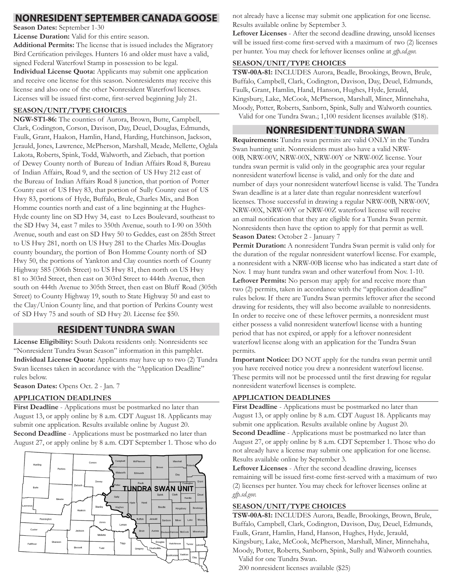**Season Dates:** September 1-30

**License Duration:** Valid for this entire season.

**Additional Permits:** The license that is issued includes the Migratory Bird Certification privileges. Hunters 16 and older must have a valid, signed Federal Waterfowl Stamp in possession to be legal.

**Individual License Quota:** Applicants may submit one application and receive one license for this season. Nonresidents may receive this license and also one of the other Nonresident Waterfowl licenses. Licenses will be issued first-come, first-served beginning July 21.

#### **SEASON/UNIT/TYPE CHOICES**

**NGW-ST1-86:** The counties of Aurora, Brown, Butte, Campbell, Clark, Codington, Corson, Davison, Day, Deuel, Douglas, Edmunds, Faulk, Grant, Haakon, Hamlin, Hand, Harding, Hutchinson, Jackson, Jerauld, Jones, Lawrence, McPherson, Marshall, Meade, Mellette, Oglala Lakota, Roberts, Spink, Todd, Walworth, and Ziebach, that portion of Dewey County north of Bureau of Indian Affairs Road 8, Bureau of Indian Affairs, Road 9, and the section of US Hwy 212 east of the Bureau of Indian Affairs Road 8 junction, that portion of Potter County east of US Hwy 83, that portion of Sully County east of US Hwy 83, portions of Hyde, Buffalo, Brule, Charles Mix, and Bon Homme counties north and east of a line beginning at the Hughes-Hyde county line on SD Hwy 34, east to Lees Boulevard, southeast to the SD Hwy 34, east 7 miles to 350th Avenue, south to I-90 on 350th Avenue, south and east on SD Hwy 50 to Geddes, east on 285th Street to US Hwy 281, north on US Hwy 281 to the Charles Mix-Douglas county boundary, the portion of Bon Homme County north of SD Hwy 50, the portions of Yankton and Clay counties north of County Highway 585 (306th Street) to US Hwy 81, then north on US Hwy 81 to 303rd Street, then east on 303rd Street to 444th Avenue, then south on 444th Avenue to 305th Street, then east on Bluff Road (305th Street) to County Highway 19, south to State Highway 50 and east to the Clay/Union County line, and that portion of Perkins County west of SD Hwy 75 and south of SD Hwy 20. License fee \$50.

### **RESIDENT TUNDRA SWAN**

**License Eligibility:** South Dakota residents only. Nonresidents see "Nonresident Tundra Swan Season" information in this pamphlet. **Individual License Quota:** Applicants may have up to two (2) Tundra Swan licenses taken in accordance with the "Application Deadline" rules below.

Season Dates: Opens Oct. 2 - Jan. 7

#### **APPLICATION DEADLINES**

**First Deadline** - Applications must be postmarked no later than August 13, or apply online by 8 a.m. CDT August 18. Applicants may submit one application. Results available online by August 20. **Second Deadline** - Applications must be postmarked no later than August 27, or apply online by 8 a.m. CDT September 1. Those who do



**NONRESIDENT SEPTEMBER CANADA GOOSE** not already have a license may submit one application for one license. Results available online by September 3.

**Leftover Licenses** - After the second deadline drawing, unsold licenses will be issued first-come first-served with a maximum of two (2) licenses per hunter. You may check for leftover licenses online at *gfp.sd.gov.*

### **SEASON/UNIT/TYPE CHOICES**

**TSW-00A-81:** INCLUDES Aurora, Beadle, Brookings, Brown, Brule, Buffalo, Campbell, Clark, Codington, Davison, Day, Deuel, Edmunds, Faulk, Grant, Hamlin, Hand, Hanson, Hughes, Hyde, Jerauld, Kingsbury, Lake, McCook, McPherson, Marshall, Miner, Minnehaha, Moody, Potter, Roberts, Sanborn, Spink, Sully and Walworth counties. Valid for one Tundra Swan.; 1,100 resident licenses available (\$18).

## **NONRESIDENT TUNDRA SWAN**

**Requirements:** Tundra swan permits are valid ONLY in the Tundra Swan hunting unit. Nonresidents must also have a valid NRW-00B, NRW-00V, NRW-00X, NRW-00Y or NRW-00Z license. Your tundra swan permit is valid only in the geographic area your regular nonresident waterfowl license is valid, and only for the date and number of days your nonresident waterfowl license is valid. The Tundra Swan deadline is at a later date than regular nonresident waterfowl licenses. Those successful in drawing a regular NRW-00B, NRW-00V, NRW-00X, NRW-00Y or NRW-00Z waterfowl license will receive an email notification that they are eligible for a Tundra Swan permit. Nonresidents then have the option to apply for that permit as well. **Season Dates:** October 2 - January 7

Permit Duration: A nonresident Tundra Swan permit is valid only for the duration of the regular nonresident waterfowl license. For example, a nonresident with a NRW-00B license who has indicated a start date of Nov. 1 may hunt tundra swan and other waterfowl from Nov. 1-10. **Leftover Permits:** No person may apply for and receive more than two (2) permits, taken in accordance with the "application deadline" rules below. If there are Tundra Swan permits leftover after the second drawing for residents, they will also become available to nonresidents. In order to receive one of these leftover permits, a nonresident must either possess a valid nonresident waterfowl license with a hunting period that has not expired, or apply for a leftover nonresident waterfowl license along with an application for the Tundra Swan permits.

**Important Notice:** DO NOT apply for the tundra swan permit until you have received notice you drew a nonresident waterfowl license. These permits will not be processed until the first drawing for regular nonresident waterfowl licenses is complete.

#### **APPLICATION DEADLINES**

First Deadline - Applications must be postmarked no later than August 13, or apply online by 8 a.m. CDT August 18. Applicants may submit one application. Results available online by August 20. **Second Deadline** - Applications must be postmarked no later than August 27, or apply online by 8 a.m. CDT September 1. Those who do not already have a license may submit one application for one license. Results available online by September 3.

**Leftover Licenses** - After the second deadline drawing, licenses remaining will be issued first-come first-served with a maximum of two (2) licenses per hunter. You may check for leftover licenses online at *gfp.sd.gov.*

#### **SEASON/UNIT/TYPE CHOICES**

**TSW-00A-81:** INCLUDES Aurora, Beadle, Brookings, Brown, Brule, Buffalo, Campbell, Clark, Codington, Davison, Day, Deuel, Edmunds, Faulk, Grant, Hamlin, Hand, Hanson, Hughes, Hyde, Jerauld, Kingsbury, Lake, McCook, McPherson, Marshall, Miner, Minnehaha, Moody, Potter, Roberts, Sanborn, Spink, Sully and Walworth counties. Valid for one Tundra Swan.

200 nonresident licenses available (\$25)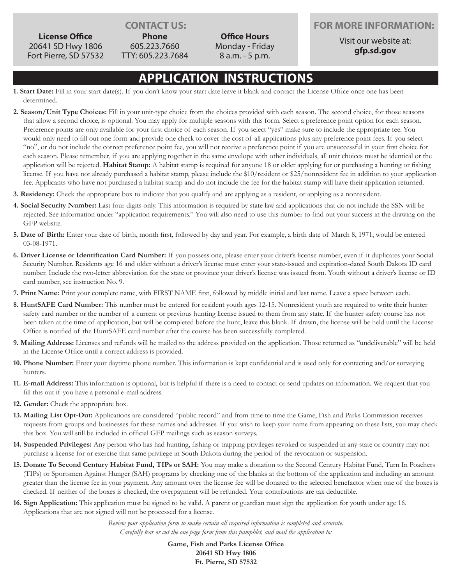**Phone** 605.223.7660

Fort Pierre, SD 57532 TTY: 605.223.7684

**Office Hours** Monday - Friday 8 a.m. - 5 p.m.

### **CONTACT US: FOR MORE INFORMATION:**

Visit our website at: **gfp.sd.gov**

## **APPLICATION INSTRUCTIONS**

- **1. Start Date:** Fill in your start date(s). If you don't know your start date leave it blank and contact the License Office once one has been determined.
- **2. Season/Unit Type Choices:** Fill in your unit-type choice from the choices provided with each season. The second choice, for those seasons that allow a second choice, is optional. You may apply for multiple seasons with this form. Select a preference point option for each season. Preference points are only available for your first choice of each season. If you select "yes" make sure to include the appropriate fee. You would only need to fill out one form and provide one check to cover the cost of all applications plus any preference point fees. If you select "no", or do not include the correct preference point fee, you will not receive a preference point if you are unsuccessful in your first choice for each season. Please remember, if you are applying together in the same envelope with other individuals, all unit choices must be identical or the application will be rejected. **Habitat Stamp:** A habitat stamp is required for anyone 18 or older applying for or purchasing a hunting or fishing license. If you have not already purchased a habitat stamp, please include the \$10/resident or \$25/nonresident fee in addition to your application fee. Applicants who have not purchased a habitat stamp and do not include the fee for the habitat stamp will have their application returned.
- **3. Residency:** Check the appropriate box to indicate that you qualify and are applying as a resident, or applying as a nonresident.
- **4. Social Security Number:** Last four digits only. This information is required by state law and applications that do not include the SSN will be rejected. See information under "application requirements." You will also need to use this number to find out your success in the drawing on the GFP website.
- **5. Date of Birth:** Enter your date of birth, month first, followed by day and year. For example, a birth date of March 8, 1971, would be entered 03-08-1971.
- **6. Driver License or Identification Card Number:** If you possess one, please enter your driver's license number, even if it duplicates your Social Security Number. Residents age 16 and older without a driver's license must enter your state-issued and expiration-dated South Dakota ID card number. Include the two-letter abbreviation for the state or province your driver's license was issued from. Youth without a driver's license or ID card number, see instruction No. 9.
- **7. Print Name:** Print your complete name, with FIRST NAME first, followed by middle initial and last name. Leave a space between each.
- **8. HuntSAFE Card Number:** This number must be entered for resident youth ages 12-15. Nonresident youth are required to write their hunter safety card number or the number of a current or previous hunting license issued to them from any state. If the hunter safety course has not been taken at the time of application, but will be completed before the hunt, leave this blank. If drawn, the license will be held until the License Office is notified of the HuntSAFE card number after the course has been successfully completed.
- **9. Mailing Address:** Licenses and refunds will be mailed to the address provided on the application. Those returned as "undeliverable" will be held in the License Office until a correct address is provided.
- **10. Phone Number:** Enter your daytime phone number. This information is kept confidential and is used only for contacting and/or surveying hunters.
- **11. E-mail Address:** This information is optional, but is helpful if there is a need to contact or send updates on information. We request that you fill this out if you have a personal e-mail address.
- **12. Gender:** Check the appropriate box.
- **13. Mailing List Opt-Out:** Applications are considered "public record" and from time to time the Game, Fish and Parks Commission receives requests from groups and businesses for these names and addresses. If you wish to keep your name from appearing on these lists, you may check this box. You will still be included in official GFP mailings such as season surveys.
- **14. Suspended Privileges:** Any person who has had hunting, fishing or trapping privileges revoked or suspended in any state or country may not purchase a license for or exercise that same privilege in South Dakota during the period of the revocation or suspension.
- **15. Donate To Second Century Habitat Fund, TIPs or SAH:** You may make a donation to the Second Century Habitat Fund, Turn In Poachers (TIPs) or Sportsmen Against Hunger (SAH) programs by checking one of the blanks at the bottom of the application and including an amount greater than the license fee in your payment. Any amount over the license fee will be donated to the selected benefactor when one of the boxes is checked. If neither of the boxes is checked, the overpayment will be refunded. Your contributions are tax deductible.
- **16. Sign Application:** This application must be signed to be valid. A parent or guardian must sign the application for youth under age 16. Applications that are not signed will not be processed for a license.

*Review your application form to make certain all required information is completed and accurate. Carefully tear or cut the one page form from this pamphlet, and mail the application to:*

> **Game, Fish and Parks License Office 20641 SD Hwy 1806 Ft. Pierre, SD 57532**